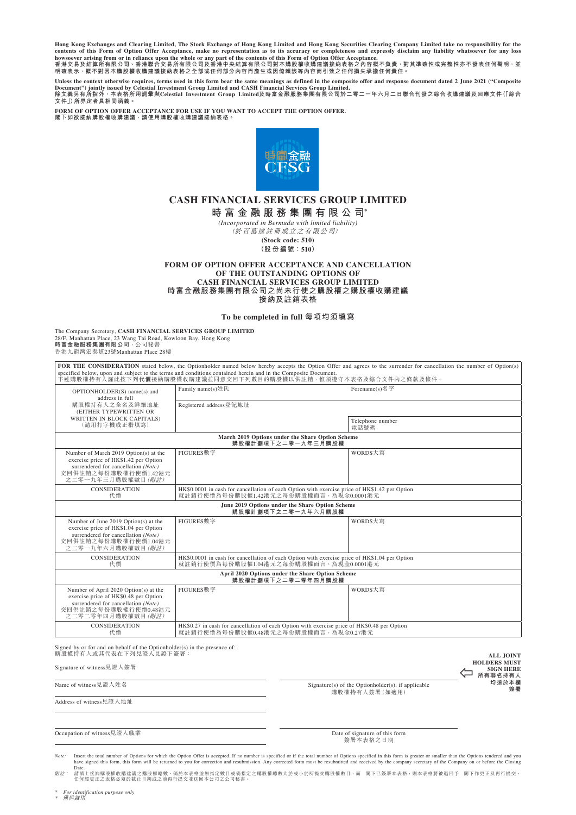**Hong Kong Exchanges and Clearing Limited, The Stock Exchange of Hong Kong Limited and Hong Kong Securities Clearing Company Limited take no responsibility for the** 

contents of this Form of Option Offer Acceptance, make no representation as to its accuracy or completeness and expressly disclaim any liability whatsoever for any loss<br>howsoever arising from or in reliance upon the whole

**Unless the context otherwise requires, terms used in this form bear the same meanings as defined in the composite offer and response document dated 2 June 2021 ("Composite**  Document") jointly issued by Celestial Investment Group Limited and CASH Financial Services Group Limited.<br>除文義另有所指外,本表格所用詞彙與Celestial Investment Group Limited及時富金融服務集團有限公司於二零二一年六月二日聯合刊發之綜合收購建議及回應文件 (「綜合 **文件」)所界定者具相同涵義。**

**FORM OF OPTION OFFER ACCEPTANCE FOR USE IF YOU WANT TO ACCEPT THE OPTION OFFER. 閣下如欲接納購股權收購建議,請使用購股權收購建議接納表格。**



# **CASH FINANCIAL SERVICES GROUP LIMITED**

**時富金融服務集團有限公司\***

*(Incorporated in Bermuda with limited liability)* **(Stock code: 510)** (於百慕達註冊成立之有限公司)

**(股份編號:510)**

**FORM OF OPTION OFFER ACCEPTANCE AND CANCELLATION OF THE OUTSTANDING OPTIONS OF CASH FINANCIAL SERVICES GROUP LIMITED 時富金融服務集團有限公司之尚未行使之購股權之購股權收購建議 接納及註銷表格**

**To be completed in full 每項均須填寫**

The Company Secretary, **CASH FINANCIAL SERVICES GROUP LIMITED** 28/F, Manhattan Place, 23 Wang Tai Road, Kowloon Bay, Hong Kong **時富金融服務集團有限公司**,公司秘書 香港九龍灣宏泰道23號Manhattan Place 28樓

| FOR THE CONSIDERATION stated below, the Optionholder named below hereby accepts the Option Offer and agrees to the surrender for cancellation the number of Option(s)<br>specified below, upon and subject to the terms and conditions contained herein and in the Composite Document.<br>下述購股權持有人謹此按下列代價接納購股權收購建議並同意交回下列數目的購股權以供註銷,惟須遵守本表格及綜合文件內之條款及條件。 |                                                                                                                                         |                                                                                    |
|----------------------------------------------------------------------------------------------------------------------------------------------------------------------------------------------------------------------------------------------------------------------------------------------------------------------------------------------------------|-----------------------------------------------------------------------------------------------------------------------------------------|------------------------------------------------------------------------------------|
| OPTIONHOLDER(S) name(s) and<br>address in full<br>購股權持有人之全名及詳細地址<br>(EITHER TYPEWRITTEN OR<br>WRITTEN IN BLOCK CAPITALS)<br>(請用打字機或正楷填寫)                                                                                                                                                                                                                 | Family name(s)姓氏<br>Registered address登記地址                                                                                              | $For example(s)$ 名字                                                                |
|                                                                                                                                                                                                                                                                                                                                                          |                                                                                                                                         | Telephone number<br>電話號碼                                                           |
| March 2019 Options under the Share Option Scheme<br>購股權計劃項下之二零一九年三月購股權                                                                                                                                                                                                                                                                                   |                                                                                                                                         |                                                                                    |
| Number of March 2019 Option(s) at the<br>exercise price of HK\$1.42 per Option<br>surrendered for cancellation (Note)<br>交回供註銷之每份購股權行使價1.42港元<br>之二零一九年三月購股權數目 (附註)                                                                                                                                                                                      | FIGURES數字                                                                                                                               | WORDS大寫                                                                            |
| <b>CONSIDERATION</b><br>代價                                                                                                                                                                                                                                                                                                                               | HK\$0.0001 in cash for cancellation of each Option with exercise price of HK\$1.42 per Option<br>就註銷行使價為每份購股權1.42港元之每份購股權而言,為現金0.0001港元 |                                                                                    |
| June 2019 Options under the Share Option Scheme<br>購股權計劃項下之二零一九年六月購股權                                                                                                                                                                                                                                                                                    |                                                                                                                                         |                                                                                    |
| Number of June 2019 Option(s) at the<br>exercise price of HK\$1.04 per Option<br>surrendered for cancellation (Note)<br>交回供註銷之每份購股權行使價1.04港元<br>之二零一九年六月購股權數目 (附註)                                                                                                                                                                                       | FIGURES數字                                                                                                                               | WORDS大寫                                                                            |
| <b>CONSIDERATION</b><br>代價                                                                                                                                                                                                                                                                                                                               | HK\$0.0001 in cash for cancellation of each Option with exercise price of HK\$1.04 per Option<br>就註銷行使價為每份購股權1.04港元之每份購股權而言,為現金0.0001港元 |                                                                                    |
| April 2020 Options under the Share Option Scheme<br>購股權計劃項下之二零二零年四月購股權                                                                                                                                                                                                                                                                                   |                                                                                                                                         |                                                                                    |
| Number of April 2020 Option(s) at the<br>exercise price of HK\$0.48 per Option<br>surrendered for cancellation (Note)<br>交回供註銷之每份購股權行使價0.48港元<br>之二零二零年四月購股權數目(附註)                                                                                                                                                                                       | FIGURES數字                                                                                                                               | WORDS大寫                                                                            |
| CONSIDERATION<br>代價                                                                                                                                                                                                                                                                                                                                      | HK\$0.27 in cash for cancellation of each Option with exercise price of HK\$0.48 per Option<br>就註銷行使價為每份購股權0.48港元之每份購股權而言,為現金0.27港元     |                                                                                    |
| Signed by or for and on behalf of the Optionholder(s) in the presence of:<br>購股權持有人或其代表在下列見證人見證下簽署:                                                                                                                                                                                                                                                      |                                                                                                                                         | <b>ALL JOINT</b>                                                                   |
| Signature of witness見證人簽署                                                                                                                                                                                                                                                                                                                                |                                                                                                                                         | <b>HOLDERS MUST</b><br><b>SIGN HERE</b><br>所有聯名持有人                                 |
| Name of witness 見證人姓名                                                                                                                                                                                                                                                                                                                                    |                                                                                                                                         | 均須於本欄<br>Signature(s) of the Optionholder(s), if applicable<br>簽署<br>購股權持有人簽署(如適用) |
| Address of witness見證人地址                                                                                                                                                                                                                                                                                                                                  |                                                                                                                                         |                                                                                    |

Occupation of witness見證人職業 **Date of signature of this form** 

簽署本表格之日期

Note: Insert the total number of Options for which the Option Offer is accepted. If no number is specified or if the total number of Options specified in this form is greater or smaller than the Options tendered and you have signed this form, this form will be returned to you for correction and resubmission. Any corrected form must be resubmitted and received by the company secretary of the Company on or before the Closing Date.

Date.<br>*附註:* 請填上接納購股權收購建議之購股權總數。倘於本表格並無指定數目或倘指定之購股權總數大於或小於所提交購股權數目,而 閣下已簽署本表格,則本表格將被退回予 閣下作更正及再行提交。<br>任何經更正之表格必須於截止日期或之前再行提交並送回本公司之公司秘書。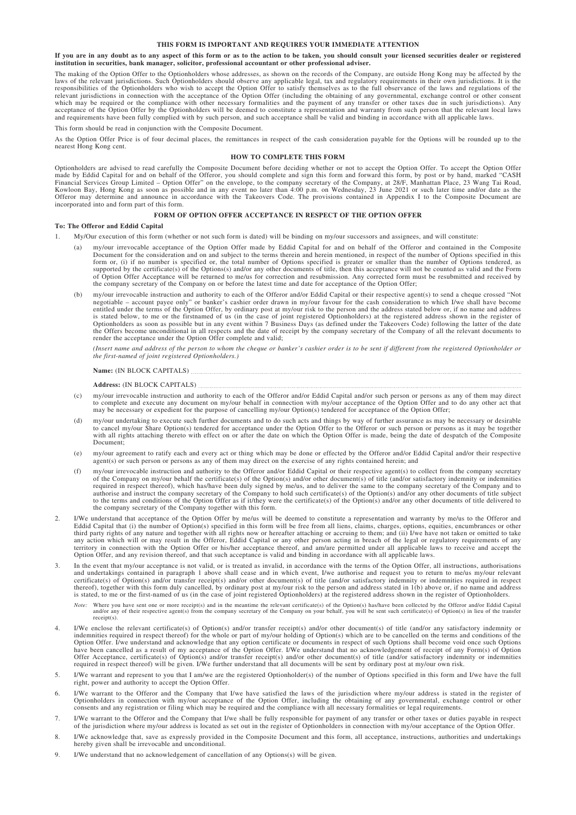#### **THIS FORM IS IMPORTANT AND REQUIRES YOUR IMMEDIATE ATTENTION**

**If you are in any doubt as to any aspect of this form or as to the action to be taken, you should consult your licensed securities dealer or registered institution in securities, bank manager, solicitor, professional accountant or other professional adviser.**

The making of the Option Offer to the Optionholders whose addresses, as shown on the records of the Company, are outside Hong Kong may be affected by the laws of the relevant jurisdictions. Such Optionholders should observe any applicable legal, tax and regulatory requirements in their own jurisdictions. It is the responsibilities of the Optionholders who wish to accept the Option Offer to satisfy themselves as to the full observance of the laws and regulations of the laws and regulations of the acceptance of the Option Offer (inclu which may be required or the compliance with other necessary formalities and the payment of any transfer or other taxes due in such jurisdictions). Any acceptance of the Option Offer by the Optionholders will be deemed to constitute a representation and warranty from such person that the relevant local laws<br>and requirements have been fully complied with by such person, an

This form should be read in conjunction with the Composite Document.

As the Option Offer Price is of four decimal places, the remittances in respect of the cash consideration payable for the Options will be rounded up to the nearest Hong Kong cent.

#### **HOW TO COMPLETE THIS FORM**

Optionholders are advised to read carefully the Composite Document before deciding whether or not to accept the Option Offer. To accept the Option Offer made by Eddid Capital for and on behalf of the Offeror, you should complete and sign this form and forward this form, by post or by hand, marked "CASH<br>Financial Services Group Limited – Option Offer" on the envelope, to th Offeror may determine and announce in accordance with the Takeovers Code. The provisions contained in Appendix I to the Composite Document are incorporated into and form part of this form.

#### **FORM OF OPTION OFFER ACCEPTANCE IN RESPECT OF THE OPTION OFFER**

#### **To: The Offeror and Eddid Capital**

1. My/Our execution of this form (whether or not such form is dated) will be binding on my/our successors and assignees, and will constitute:

- my/our irrevocable acceptance of the Option Offer made by Eddid Capital for and on behalf of the Offeror and contained in the Composite Document for the consideration and on and subject to the terms therein and herein mentioned, in respect of the number of Options specified in this form or, (i) if no number is specified or, the total number of Options specified is greater or smaller than the number of Options tendered, as supported by the certificate(s) of the Options(s) and/or any other documents of of Option Offer Acceptance will be returned to me/us for correction and resubmission. Any corrected form must be resubmitted and received by the company secretary of the Company on or before the latest time and date for acceptance of the Option Offer;
- (b) my/our irrevocable instruction and authority to each of the Offeror and/or Eddid Capital or their respective agent(s) to send a cheque crossed "Not negotiable – account payee only" or banker's cashier order drawn in my/our favour for the cash consideration to which I/we shall have become entitled under the terms of the Option Offer, by ordinary post at my/our risk to the person and the address stated below or, if no name and address is stated below, to me or the firstnamed of us (in the case of joint registered Optionholders) at the registered address shown in the register of Optionholders as soon as possible but in any event within 7 Business Days (a the Offers become unconditional in all respects and the date of receipt by the company secretary of the Company of all the relevant documents to render the acceptance under the Option Offer complete and valid;

*(Insert name and address of the person to whom the cheque or banker's cashier order is to be sent if different from the registered Optionholder or the first-named of joint registered Optionholders.)*

**Name:** (IN BLOCK CAPITALS)

#### **Address:** (IN BLOCK CAPITALS)

- (c) my/our irrevocable instruction and authority to each of the Offeror and/or Eddid Capital and/or such person or persons as any of them may direct to complete and execute any document on my/our behalf in connection with my/our acceptance of the Option Offer and to do any other act that may be necessary or expedient for the purpose of cancelling my/our Option(s) tendered for acceptance of the Option Offer;
- my/our undertaking to execute such further documents and to do such acts and things by way of further assurance as may be necessary or desirable to cancel my/our Share Option(s) tendered for acceptance under the Option Offer to the Offeror or such person or persons as it may be together<br>with all rights attaching thereto with effect on or after the date on which the Document;
- (e) my/our agreement to ratify each and every act or thing which may be done or effected by the Offeror and/or Eddid Capital and/or their respective agent(s) or such person or persons as any of them may direct on the exercise of any rights contained herein; and
- (f) my/our irrevocable instruction and authority to the Offeror and/or Eddid Capital or their respective agent(s) to collect from the company secretary of the Company on my/our behalf the certificate(s) of the Option(s) and/or other document(s) of title (and/or satisfactory indemnity or indemnities required in respect thereof), which has/have been duly signed by me/us, and to deliver the same to the company secretary of the Company and to authorise and instruct the company secretary of the Company to hold such certificate(s) of the Option(s) and/or any other documents of title subject<br>to the terms and conditions of the Option Offer as if it/they were the ce the company secretary of the Company together with this form.
- 2. I/We understand that acceptance of the Option Offer by me/us will be deemed to constitute a representation and warranty by me/us to the Offeror and Eddid Capital that (i) the number of Option(s) specified in this form will be free from all liens, claims, charges, options, equities, encumbrances or other third party rights of any nature and together with all rights now territory in connection with the Option Offer or his/her acceptance thereof, and am/are permitted under all applicable laws to receive and accept the Option Offer, and any revision thereof, and that such acceptance is valid and binding in accordance with all applicable laws.
- 3. In the event that my/our acceptance is not valid, or is treated as invalid, in accordance with the terms of the Option Offer, all instructions, authorisations and undertakings contained in paragraph 1 above shall cease and in which event, I/we authorise and request you to return to me/us my/our relevant certificate(s) of Option(s) and/or transfer receipt(s) and/or other document(s) of title (and/or satisfactory indemnity or indemnities required in respect<br>thereof), together with this form duly cancelled, by ordinary post

Note: Where you have sent one or more receipt(s) and in the meantime the relevant certificate(s) of the Option(s) has/have been collected by the Offeror and/or Eddid Capital and/or any of their respective agent(s) from the receipt(s).

- 4. I/We enclose the relevant certificate(s) of Option(s) and/or transfer receipt(s) and/or other document(s) of title (and/or any satisfactory indemnity or indemnities required in respect thereof) for the whole or part of my/our holding of Option(s) which are to be cancelled on the terms and conditions of the Option Offer. I/we understand and acknowledge that any option certificate or documents in respect of such Options shall become void once such Options<br>have been cancelled as a result of my acceptance of the Option Offer. I/ required in respect thereof) will be given. I/We further understand that all documents will be sent by ordinary post at my/our own risk.
- 5. I/We warrant and represent to you that I am/we are the registered Optionholder(s) of the number of Options specified in this form and I/we have the full right, power and authority to accept the Option Offer.
- 6. I/We warrant to the Offeror and the Company that I/we have satisfied the laws of the jurisdiction where my/our address is stated in the register of Optionholders in connection with my/our acceptance of the Option Offer, including the obtaining of any governmental, exchange control or other consents and any registration or filing which may be required and the compliance with all necessary formalities or legal requirements.
- 7. I/We warrant to the Offeror and the Company that I/we shall be fully responsible for payment of any transfer or other taxes or duties payable in respect of the jurisdiction where my/our address is located as set out in
- 8. I/We acknowledge that, save as expressly provided in the Composite Document and this form, all acceptance, instructions, authorities and undertakings hereby given shall be irrevocable and unconditional.
- 9. I/We understand that no acknowledgement of cancellation of any Options(s) will be given.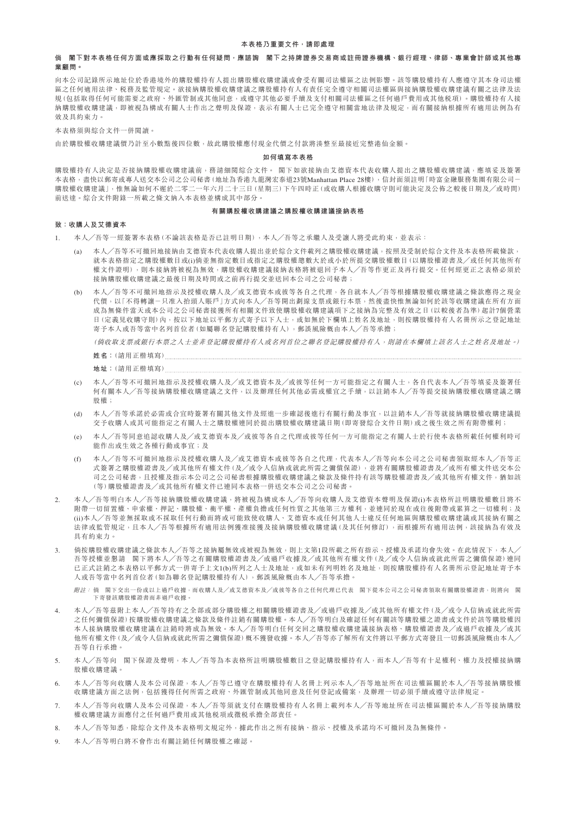## **倘 閣下對本表格任何方面或應採取之行動有任何疑問,應諮詢 閣下之持牌證券交易商或註冊證券機構、銀行經理、律師、專業會計師或其他專 業顧問。**

向本公司記錄所示地址位於香港境外的購股權持有人提出購股權收購建議或會受有關司法權區之法例影響。該等購股權持有人應遵守其本身司法權 區之任何適用法律、稅務及監管規定。欲接納購股權收購建議之購股權持有人有責任完全遵守相關司法權區與接納購股權收購建議有關之法律及法 規(包括取得任何可能需要之政府、外匯管制或其他同意,或遵守其他必要手續及支付相關司法權區之任何過戶費用或其他稅項)。購股權持有人接 納購股權收購建議,即被視為構成有關人士作出之聲明及保證,表示有關人士已完全遵守相關當地法律及規定,而有關接納根據所有適用法例為有 效及具約束力。

本表格須與綜合文件一併閱讀。

由於購股權收購建議價乃計至小數點後四位數,故此購股權應付現金代價之付款將湊整至最接近完整港仙金額。

#### **如何填寫本表格**

購股權持有人決定是否接納購股權收購建前,務請細閱綜合文件。 閣下如欲接納由艾德資本代表收購人提出之購股權收購建議,應填妥及簽署 本表格,盡快以郵寄或專人送交本公司之公司秘書(地址為香港九龍灣宏泰道23號Manhattan Place 28樓),信封面須註明「時富金融服務集團有限公司一 購股權收購建議」,惟無論如何不遲於二零二一年六月二十三日(星期三)下午四時正(或收購人根據收購守則可能決定及公佈之較後日期及╱或時間) 前送達。綜合文件附錄一所載之條文納入本表格並構成其中部分。

### **有關購股權收購建議之購股權收購建議接納表格**

#### **致:收購人及艾德資本**

- 1. 本人╱吾等一經簽署本表格(不論該表格是否已註明日期),本人╱吾等之承繼人及受讓人將受此約束,並表示:
	- (a) 本人╱吾等不可撤回地接納由艾德資本代表收購人提出並於綜合文件載列之購股權收購建議,按照及受制於綜合文件及本表格所載條款, 就本表格指定之購股權數目或(i)倘並無指定數目或指定之購股權總數大於或小於所提交購股權數目(以購股權證書及╱或任何其他所有 權文件證明),則本接納將被視為無效,購股權收購建議接納表格將被退回予本人╱吾等作更正及再行提交。任何經更正之表格必須於 接納購股權收購建議之最後日期及時間或之前再行提交並送回本公司之公司秘書;
	- (b) 本人╱吾等不可撤回地指示及授權收購人及╱或艾德資本或彼等各自之代理,各自就本人╱吾等根據購股權收購建議之條款應得之現金 代價,以「不得轉讓一只准入抬頭人賬戶」方式向本人/吾等開出劃線支票或銀行本票,然後盡快惟無論如何於該等收購建議在所有方面 成為無條件當天或本公司之公司秘書接獲所有相關文件致使購股權收購建議項下之接納為完整及有效之日(以較後者為準)起計7個營業 日(定義見收購守則)內,按以下地址以平郵方式寄予以下人士,或如無於下欄填上姓名及地址,則按購股權持有人名冊所示之登記地址 寄予本人或吾等當中名列首位者(如屬聯名登記購股權持有人),郵誤風險概由本人╱吾等承擔;

(倘收取支票或銀行本票之人士並非登記購股權持有人或名列首位之聯名登記購股權持有人,則請在本欄填上該名人士之姓名及地址。)

**姓名:**(請用正楷填寫)

- (c) 本人╱吾等不可撤回地指示及授權收購人及╱或艾德資本及╱或彼等任何一方可能指定之有關人士,各自代表本人╱吾等填妥及簽署任 何有關本人╱吾等接納購股權收購建議之文件,以及辦理任何其他必需或權宜之手續,以註銷本人╱吾等提交接納購股權收購建議之購 股權;
- (d) 本人╱吾等承諾於必需或合宜時簽署有關其他文件及經進一步確認後進行有關行動及事宜,以註銷本人╱吾等就接納購股權收購建議提 交予收購人或其可能指定之有關人士之購股權連同於提出購股權收購建議日期(即寄發綜合文件日期)或之後生效之所有附帶權利;
- (e) 本人╱吾等同意追認收購人及╱或艾德資本及╱或彼等各自之代理或彼等任何一方可能指定之有關人士於行使本表格所載任何權利時可 能作出或生效之各種行動或事宜;及
- (f) 本人╱吾等不可撤回地指示及授權收購人及╱或艾德資本或彼等各自之代理,代表本人╱吾等向本公司之公司秘書領取經本人╱吾等正 式簽署之購股權證書及╱或其他所有權文件(及╱或令人信納或就此所需之彌償保證),並將有關購股權證書及╱或所有權文件送交本公 司之公司秘書,日授權及指示本公司之公司秘書根據購股權收購建議之條款及條件持有該等購股權證書及╱或其他所有權文件,猶如該 (等)購股權證書及╱或其他所有權文件已連同本表格一併送交本公司之公司秘書。
- 2. 本人╱吾等明白本人╱吾等接納購股權收購建議,將被視為構成本人╱吾等向收購人及艾德資本聲明及保證(i)本表格所註明購股權數目將不 附帶一切留置權、申索權、押記、購股權、衡平權、產權負擔或任何性質之其他第三方權利,並連同於現在或往後附帶或累算之一切權利;及 (ii)本人╱吾等並無採取或不採取任何行動而將或可能致使收購人、艾德資本或任何其他人士違反任何地區與購股權收購建議或其接納有關之 法律或監管規定,且本人/吾等根據所有適用法例獲准接獲及接納購股權收購建議(及其任何修訂),而根據所有適用法例,該接納為有效及 具有約束力。
- 3. 倘按購股權收購建議之條款本人/吾等之接纳屬無效或被視為無效,則上文第1段所載之所有指示、授權及承諾均會失效。在此情況下,本人 吾等授權並懇請 閣下將本人╱吾等之有關購股權證書及╱或過戶收據及╱或其他所有權文件(及╱或令人信納或就此所需之彌償保證)連同 已正式註銷之本表格以平郵方式一併寄予上文1(b)所列之人士及地址,或如未有列明姓名及地址,則按購股權持有人名冊所示登記地址寄予本 人或吾等當中名列首位者(如為聯名登記購股權持有人),郵誤風險概由本人╱吾等承擔。

*附註:* **倘 閣下交出一份或以上過戶收據,而收購人及/或艾德資本及/或彼等各自之任何代理已代表 閣下從本公司之公司秘書領取有關購股權證書,則將向 閣** 下寄發該購股權證書而非過戶收據。

- 4. 本人╱吾等茲附上本人╱吾等持有之全部或部分購股權之相關購股權證書及╱或過戶收據及╱或其他所有權文件(及╱或令人信納或就此所需 之任何彌償保證)按購股權收購建議之條款及條件註銷有關購股權。本人╱吾等明白及確認任何有關該等購股權之證書或文件於該等購股權因 本人接納購股權收購建議在註銷時將成為無效。本人╱吾等明白任何交回之購股權收購建議接納表格、購股權證書及╱或過戶收據及╱或其 他所有權文件(及╱或令人信納或就此所需之彌償保證)概不獲發收據。本人╱吾等亦了解所有文件將以平郵方式寄發且一切郵誤風險概由本人 吾等自行承擔。
- 5. 本人╱吾等向 閣下保證及聲明,本人╱吾等為本表格所註明購股權數目之登記購股權持有人,而本人╱吾等有十足權利、權力及授權接納購 股權收購建議。
- 6. 本人╱吾等向收購人及本公司保證,本人╱吾等已遵守在購股權持有人名冊上列示本人╱吾等地址所在司法權區關於本人╱吾等接納購股權 收購建議方面之法例,包括獲得任何所需之政府、外匯管制或其他同意及任何登記或備案,及辦理一切必須手續或遵守法律規定。
- 7. 本人╱吾等向收購人及本公司保證,本人╱吾等須就支付在購股權持有人名冊上載列本人╱吾等地址所在司法權區關於本人╱吾等接納購股 權收購建議方面應付之任何過戶費用或其他稅項或徵稅承擔全部責任。
- 8. 本人╱吾等知悉,除綜合文件及本表格明文規定外,據此作出之所有接納、指示、授權及承諾均不可撤回及為無條件。
- 9. 本人╱吾等明白將不會作出有關註銷任何購股權之確認。

**地址:**(請用正楷填寫)